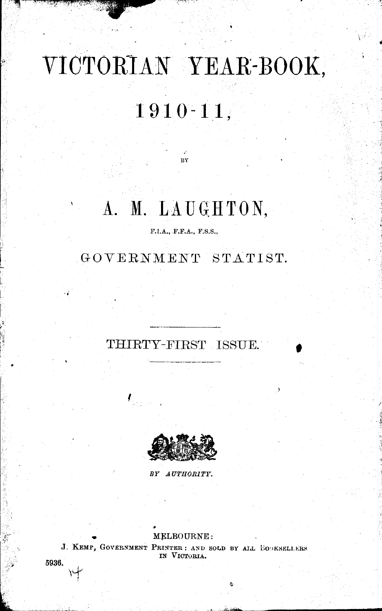# **VICTORIAN YEAR-BOOK,**

## **1910-11,**

## A. M. LAUGHTON,

BY

F.I.A., F.F.A., F.S.S.,

### GOVERNMENT STATIST.

## THIRTY-FIRST ISSUE.



ļ

*BY AUTHORITY.* 

#### • MELBOURNE:

J. KEMP, GOVERNMENT PRINTER: AND SOLD BY ALL BOOKSELLERS IN VICTORIA.

5936.

''1''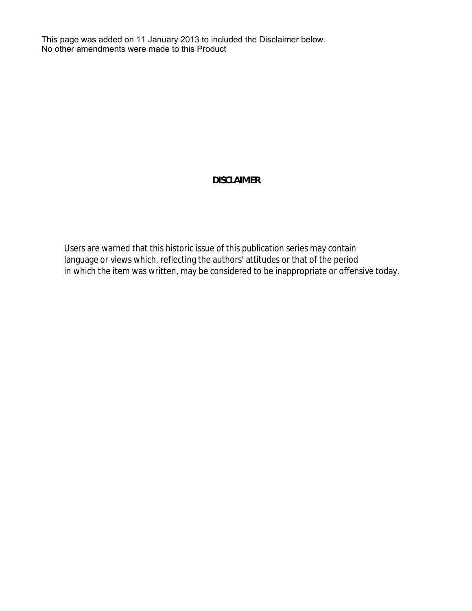This page was added on 11 January 2013 to included the Disclaimer below. No other amendments were made to this Product

## **DISCLAIMER**

Users are warned that this historic issue of this publication series may contain language or views which, reflecting the authors' attitudes or that of the period in which the item was written, may be considered to be inappropriate or offensive today.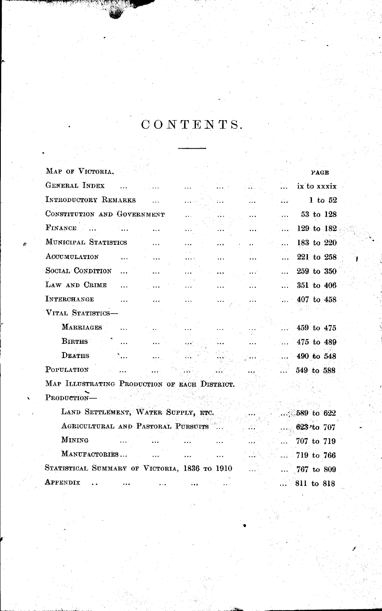## $\ddot{\mathbf{C}} \, \mathbf{O} \, \mathbf{N} \, \mathbf{T} \, \mathbf{E} \, \mathbf{N} \, \mathbf{T} \, \mathbf{S}.$

| MAP OF VICTORIA.                              |  |  | PAGE               |
|-----------------------------------------------|--|--|--------------------|
| <b>GENERAL INDEX</b>                          |  |  | ix to xxxix        |
| INTRODUCTORY REMARKS                          |  |  | 1 to $52$          |
| CONSTITUTION AND GOVERNMENT                   |  |  | 53 to 128          |
| FINANCE                                       |  |  | 129 to 182         |
| MUNICIPAL STATISTICS                          |  |  | 183 to 220         |
| ACCUMULATION                                  |  |  | 221 to 258         |
| SOCIAL CONDITION                              |  |  | 259 to 350         |
| LAW AND CRIME                                 |  |  | 351 to 406         |
| <b>INTERCHANGE</b>                            |  |  | $\dots$ 407 to 458 |
| VITAL STATISTICS-                             |  |  |                    |
| <b>MARRIAGES</b>                              |  |  | 459 to 475         |
| <b>BIRTHS</b>                                 |  |  | 475 to 489         |
| <b>DEATHS</b>                                 |  |  | $-490$ to 548      |
| POPULATION                                    |  |  | 549 to 588         |
| MAP ILLUSTRATING PRODUCTION OF EACH DISTRICT. |  |  |                    |
| PRODUCTION-                                   |  |  |                    |
| LAND SETTLEMENT, WATER SUPPLY, ETC.           |  |  | $.589$ to 622      |
| AGRICULTURAL AND PASTORAL PURSUITS            |  |  | $623$ to $707$     |
| MINING                                        |  |  | 707 to 719         |
| MANUFACTORIES                                 |  |  | 719 to 766         |
| STATISTICAL SUMMARY OF VICTORIA, 1836 TO 1910 |  |  |                    |
|                                               |  |  | 767 to 809         |
| APPENDIX                                      |  |  | 811 to 818         |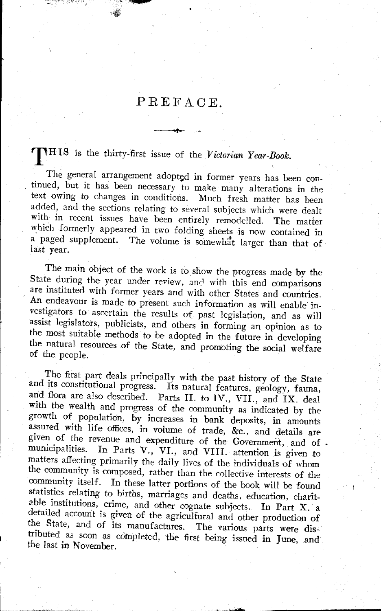### PREFAOE .

**. ,** 

T HIS is the thirty-first issue of the *Victorian Year-Book.* 

The general arrangement adopted in former years has been continued, but it has been necessary to make many alterations in the text owing to changes in conditions. Much fresh matter has been added, and the sections relating to several subjects which were dealt with in recent issues have been entirely remodelled. The matter which formerly appeared in two folding sheets is now contained in a paged supplement. The volume is somewhat larger than that of last year.

The main object of the work is to show the progress made by the State during the year under review, and with this end comparisons are instituted with former years and with other States and countries. An endeavour is made to present such information as will enable investigators to ascertain the results of past legislation, and as will assist legislators, publicists, and others in forming an opinion as to the most suitable methods to be adopted in the future in developing the natural resources of the State, and promoting the social welfare of the people.

The first part deals principally with the past history of the State and its constitutional progress. Its natural features, geology, fauna, and flora are also described. Parts II. to IV., VII., and IX. deal with the wealth and progress of the community as indicated by the growth of population, by increases in bank deposits, in amounts assured with life offices, in volume of trade, &c., and details are <sup>g</sup>iven of the revenue and expenditure of the Government, and of municipalities. In Parts V., VI., and VIII. attention is given to matters affecting primarily the daily lives of the individuals of whom the community is composed, rather than the collective interests of the community itself. In these latter portions of the book will be found statistics relating to births, marriages and deaths, education, charitable institutions, crime, and other cognate subjects. In Part X. <sup>a</sup> detailed account is given of the agricultural and other production of the State, and of its manufactures. The various parts were distributed as soon as completed, the first being issued in June, and the last in November.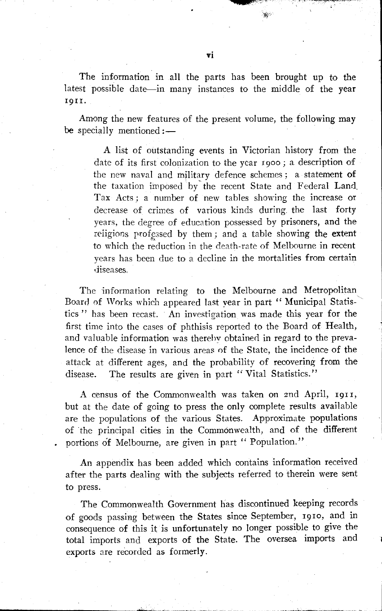The information in all the parts has been brought up to the latest possible date—in many instances to the middle of the year 19 I 1.

Among the new features of the present volume, the following may be specially mentioned: $-$ 

A list of outstanding events in Victorian history from the date of its first colonization to the year 1900; a description of the new naval and military defence schemes; a statement of the taxation imposed by the recent State and Federal Land. Tax Acts; a number of new tahles showing the increase or decrease of crimes of various kinds during. the last forty years, the degree of education possessed by prisoners, and the religions professed by them; and a table showing the extent to which the reduction in the death-rate of Melbourne in recent years has been due to a decline in the mortalities from certain diseases.

The information relating to the Melbourne and Metropolitan Board of Works which appeared last vear in part " Municipal Statistics" has been recast. An investigation was made this year for the first time into the cases of phthisis reported to the Board of Health, and valuable information was therehv obtained in regard to the prevalence of the disease in various areas of the State, the incidence of the attack at different ages, and the probability of recovering from the disease. The results are given in part "Vital Statistics."

A census of the Commonwealth was taken on 2nd April, 19II, but at the date of going to press the only complete results available are the populations of the various States. Approximate populations of the principal cities in the Commonwealth, and of the different portions of Melbourne, are given in part " Population."

An appendix has been added which contains information received after the parts dealing with the subjects referred to therein were sent to press.

The Commonwealth Government has discontinued keeping records of goods passing between the States since September, 1910, and in consequence of this it is unfortunately no longer possible to give the total imports and exports of the State. The oversea imports and exports are recorded as formerly.

\_\_\_\_\_\_\_\_\_\_\_\_ ~, \_~"'.\_~.L.~. \_\_\_\_\_ ~~., \_\_ .,~ ..

where the property of the con-

iff